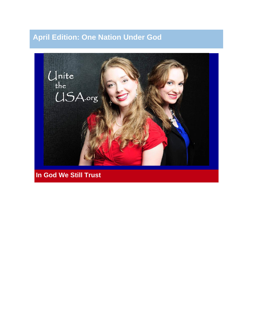# **April Edition: One Nation Under God**



**In God We Still Trust**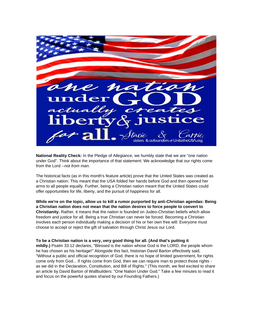

**National Reality Check:** In the Pledge of Allegiance, we humbly state that we are "one nation under God". Think about the importance of that statement: We acknowledge that our rights come from the Lord --*not from man*.

The historical facts (as in this month's feature article) prove that the United States was created as a Christian nation. This meant that the USA folded her hands before God and then opened her arms to all people equally. Further, being a Christian nation meant that the United States could offer opportunities for life, liberty, and the pursuit of happiness for all.

**While we're on the topic, allow us to kill a rumor purported by anti-Christian agendas: Being a Christian nation does not mean that the nation desires to force people to convert to Christianity.** Rather, it means that the nation is founded on Judeo-Christian beliefs which allow freedom and justice for all. Being a true Christian can never be forced. Becoming a Christian involves each person individually making a decision of his or her own free will: Everyone must choose to accept or reject the gift of salvation through Christ Jesus our Lord.

**To be a Christian nation is a very, very good thing for all. (And that's putting it mildly.)** Psalm 33:12 declares, "Blessed is the nation whose God is the LORD, the people whom he has chosen as his heritage!" Alongside this fact, historian David Barton effectively said, "Without a public and official recognition of God, there is no hope of limited government, for rights come only from God... If rights come from God, then we can require man to protect those rights as we did in the Declaration, Constitution, and Bill of Rights." (This month, we feel excited to share an article by David Barton of Wallbuilders: "One Nation Under God." Take a few minutes to read it and focus on the powerful quotes shared by our Founding Fathers.)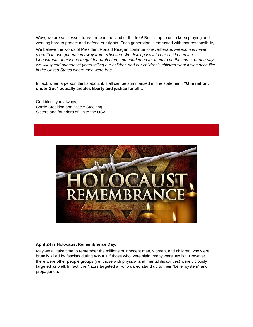Wow, we are so blessed to live here in the land of the free! But it's up to us to keep praying and working hard to protect and defend our rights. Each generation is entrusted with that responsibility.

We believe the words of President Ronald Reagan continue to reverberate: *Freedom is never more than one generation away from extinction. We didn't pass it to our children in the bloodstream. It must be fought for, protected, and handed on for them to do the same, or one day we will spend our sunset years telling our children and our children's children what it was once like in the United States where men were free.*

In fact, when a person thinks about it, it all can be summarized in one statement: **"One nation, under God" actually creates liberty and justice for all...**

God bless you always, Carrie Stoelting and Stacie Stoelting Sisters and founders of [Unite the USA](http://r20.rs6.net/tn.jsp?f=001zDhXMwq90IJQ7Uwq8JcWo6hUrjvmUil9iNr6d9FIS_t-q6mu5pXqwky32tv8ZDUToQ72uhqTFx02Ok-zI_cbbkP9EZo6mG39WiqPzljwe1mIasFQedcNf2OltDJTXdcP2vfkRUnGhpR-N_rfcXrkAA3v7Y7BtEA4nXl54OxUSYk=&c=Zd6CpGYFxhx-xhDNzCp_ESFriqK186qlyYaW76SLp-N32V5NtmJffg==&ch=ii60Bj0iJsOGWurGKXsKhL4yzcgsON7mx2POdO9MRMZXVk41T0VJSQ==)



#### **April 24 is Holocaust Remembrance Day.**

May we all take time to remember the millions of innocent men, women, and children who were brutally killed by fascists during WWII. Of those who were slain, many were Jewish. However, there were other people groups (i.e. those with physical and mental disabilities) were viciously targeted as well. In fact, the Nazi's targeted all who dared stand up to their "belief system" and propaganda.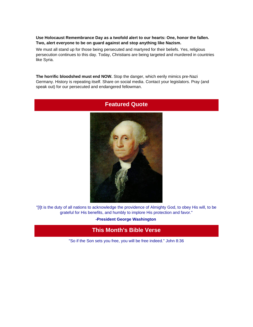#### **Use Holocaust Remembrance Day as a twofold alert to our hearts: One, honor the fallen. Two, alert everyone to be on guard against and stop anything like Nazism.**

We must all stand up for those being persecuted and martyred for their beliefs. Yes, religious persecution continues to this day. Today, Christians are being targeted and murdered in countries like Syria.

**The horrific bloodshed must end NOW.** Stop the danger, which eerily mimics pre-Nazi Germany. History is repeating itself. Share on social media. Contact your legislators. Pray (and speak out) for our persecuted and endangered fellowman.



#### **Featured Quote**

"[I]t is the duty of all nations to acknowledge the providence of Almighty God, to obey His will, to be grateful for His benefits, and humbly to implore His protection and favor."

**-President George Washington**

### **This Month's Bible Verse**

"So if the Son sets you free, you will be free indeed." John 8:36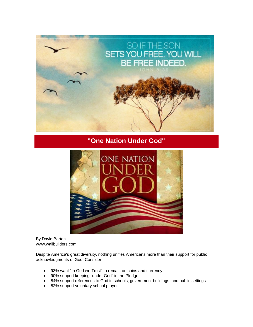

### **"One Nation Under God"**



By David Barton [www.wallbuilders.com](http://r20.rs6.net/tn.jsp?f=001zDhXMwq90IJQ7Uwq8JcWo6hUrjvmUil9iNr6d9FIS_t-q6mu5pXqwj7SZ3OFs97FAtPX_4Mgz2cJO5TrLBQYZuJs2rH2mP9NfevtbADF6Kpc2uo0JCf9sMNTNqJvc8lCxrcHG9kGNIL5oELy6NPj2fZYNjfZpMChEJr6ad36sY8=&c=Zd6CpGYFxhx-xhDNzCp_ESFriqK186qlyYaW76SLp-N32V5NtmJffg==&ch=ii60Bj0iJsOGWurGKXsKhL4yzcgsON7mx2POdO9MRMZXVk41T0VJSQ==)

Despite America's great diversity, nothing unifies Americans more than their support for public acknowledgments of God. Consider:

- 93% want "In God we Trust" to remain on coins and currency
- 90% support keeping "under God" in the Pledge
- 84% support references to God in schools, government buildings, and public settings
- 82% support voluntary school prayer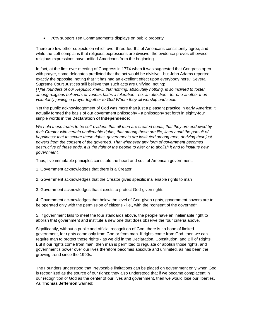• 76% support Ten Commandments displays on public property

There are few other subjects on which over three-fourths of Americans consistently agree; and while the Left complains that religious expressions are divisive, the evidence proves otherwise; religious expressions have unified Americans from the beginning.

In fact, at the first-ever meeting of Congress in 1774 when it was suggested that Congress open with prayer, some delegates predicted that the act would be divisive, but John Adams reported exactly the opposite, noting that "it has had an excellent effect upon everybody here." Several Supreme Court Justices still believe that such acts are unifying, noting:

*[T]he founders of our Republic knew...that nothing, absolutely nothing, is so inclined to foster among religious believers of various faiths a toleration - no, an affection - for one another than voluntarily joining in prayer together to God Whom they all worship and seek.*

Yet the public acknowledgement of God was more than just a pleasant practice in early America; it actually formed the basis of our government philosophy - a philosophy set forth in eighty-four simple words in the **Declaration of Independence**:

*We hold these truths to be self-evident: that all men are created equal, that they are endowed by their Creator with certain unalienable rights; that among these are life, liberty and the pursuit of happiness; that to secure these rights, governments are instituted among men, deriving their just powers from the consent of the governed. That whenever any form of government becomes destructive of these ends, it is the right of the people to alter or to abolish it and to institute new government.*

Thus, five immutable principles constitute the heart and soul of American government:

- 1. Government acknowledges that there is a Creator
- 2. Government acknowledges that the Creator gives specific inalienable rights to man

3. Government acknowledges that it exists to protect God-given rights

4. Government acknowledges that below the level of God-given rights, government powers are to be operated only with the permission of citizens - i.e., with the "consent of the governed"

5. If government fails to meet the four standards above, the people have an inalienable right to abolish that government and institute a new one that does observe the four criteria above.

Significantly, without a public and official recognition of God, there is no hope of limited government, for rights come only from God or from man. If rights come from God, then we can require man to protect those rights - as we did in the Declaration, Constitution, and Bill of Rights. But if our rights come from man, then man is permitted to regulate or abolish those rights, and government's power over our lives therefore becomes absolute and unlimited, as has been the growing trend since the 1990s.

The Founders understood that irrevocable limitations can be placed on government only when God is recognized as the source of our rights; they also understood that if we became complacent in our recognition of God as the center of our lives and government, then we would lose our liberties. As **Thomas Jefferson** warned: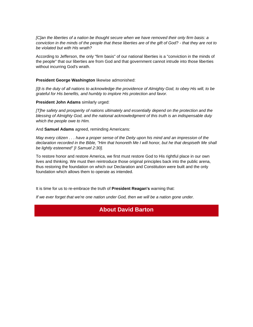*[C]an the liberties of a nation be thought secure when we have removed their only firm basis: a conviction in the minds of the people that these liberties are of the gift of God? - that they are not to be violated but with His wrath?*

According to Jefferson, the only "firm basis" of our national liberties is a "conviction in the minds of the people" that our liberties are from God and that government cannot intrude into those liberties without incurring God's wrath.

**President George Washington** likewise admonished:

*[I]t is the duty of all nations to acknowledge the providence of Almighty God, to obey His will, to be grateful for His benefits, and humbly to implore His protection and favor.*

**President John Adams** similarly urged:

*[T]he safety and prosperity of nations ultimately and essentially depend on the protection and the blessing of Almighty God, and the national acknowledgment of this truth is an indispensable duty which the people owe to Him.*

And **Samuel Adams** agreed, reminding Americans:

*May every citizen . . . have a proper sense of the Deity upon his mind and an impression of the declaration recorded in the Bible, "Him that honoreth Me I will honor, but he that despiseth Me shall be lightly esteemed" [I Samuel 2:30].*

To restore honor and restore America, we first must restore God to His rightful place in our own lives and thinking. We must then reintroduce those original principles back into the public arena, thus restoring the foundation on which our Declaration and Constitution were built and the only foundation which allows them to operate as intended.

It is time for us to re-embrace the truth of **President Reagan's** warning that:

*If we ever forget that we're one nation under God, then we will be a nation gone under.*

#### **About David Barton**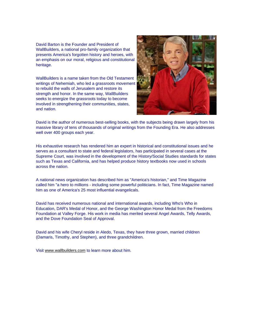David Barton is the Founder and President of WallBuilders, a national pro-family organization that presents America's forgotten history and heroes, with an emphasis on our moral, religious and constitutional heritage.

WallBuilders is a name taken from the Old Testament writings of Nehemiah, who led a grassroots movement to rebuild the walls of Jerusalem and restore its strength and honor. In the same way, WallBuilders seeks to energize the grassroots today to become involved in strengthening their communities, states, and nation.



David is the author of numerous best-selling books, with the subjects being drawn largely from his massive library of tens of thousands of original writings from the Founding Era. He also addresses well over 400 groups each year.

His exhaustive research has rendered him an expert in historical and constitutional issues and he serves as a consultant to state and federal legislators, has participated in several cases at the Supreme Court, was involved in the development of the History/Social Studies standards for states such as Texas and California, and has helped produce history textbooks now used in schools across the nation.

A national news organization has described him as "America's historian," and Time Magazine called him "a hero to millions - including some powerful politicians. In fact, Time Magazine named him as one of America's 25 most influential evangelicals.

David has received numerous national and international awards, including Who's Who in Education, DAR's Medal of Honor, and the George Washington Honor Medal from the Freedoms Foundation at Valley Forge. His work in media has merited several Angel Awards, Telly Awards, and the Dove Foundation Seal of Approval.

David and his wife Cheryl reside in Aledo, Texas, they have three grown, married children (Damaris, Timothy, and Stephen), and three grandchildren.

Visit [www.wallbuilders.com](http://r20.rs6.net/tn.jsp?f=001zDhXMwq90IJQ7Uwq8JcWo6hUrjvmUil9iNr6d9FIS_t-q6mu5pXqwj7SZ3OFs97FAtPX_4Mgz2cJO5TrLBQYZuJs2rH2mP9NfevtbADF6Kpc2uo0JCf9sMNTNqJvc8lCxrcHG9kGNIL5oELy6NPj2fZYNjfZpMChEJr6ad36sY8=&c=Zd6CpGYFxhx-xhDNzCp_ESFriqK186qlyYaW76SLp-N32V5NtmJffg==&ch=ii60Bj0iJsOGWurGKXsKhL4yzcgsON7mx2POdO9MRMZXVk41T0VJSQ==) to learn more about him.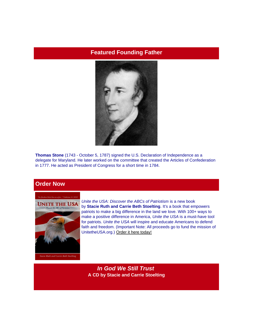### **Featured Founding Father**



**Thomas Stone** (1743 - October 5, 1787) signed the U.S. Declaration of Independence as a delegate for Maryland. He later worked on the committee that created the Articles of Confederation in 1777. He acted as President of Congress for a short time in 1784.

### **Order Now**



*Unite the USA: Discover the ABCs of Patriotism* is a new book by **Stacie Ruth and Carrie Beth Stoelting**. It's a book that empowers patriots to make a big difference in the land we love. With 100+ ways to make a positive difference in America, *Unite the USA* is a must-have tool for patriots. *Unite the USA* will inspire and educate Americans to defend faith and freedom. (Important Note: All proceeds go to fund the mission of UnitetheUSA.org.) [Order it here today!](http://r20.rs6.net/tn.jsp?f=001zDhXMwq90IJQ7Uwq8JcWo6hUrjvmUil9iNr6d9FIS_t-q6mu5pXqwqt-OeQ7A_hEcaz-D1bveTzhJ2yqgBnXD0zqWKqM_v1XhraVrIi0yCvMDg76jFbl1J9P0XThA6y7ZNKfPblKJjf8WZpshGORqS-pea78v3LY68ezQVsAW2YLBp5I-lDUiQ==&c=Zd6CpGYFxhx-xhDNzCp_ESFriqK186qlyYaW76SLp-N32V5NtmJffg==&ch=ii60Bj0iJsOGWurGKXsKhL4yzcgsON7mx2POdO9MRMZXVk41T0VJSQ==)

*In God We Still Trust* **A CD by Stacie and Carrie Stoelting**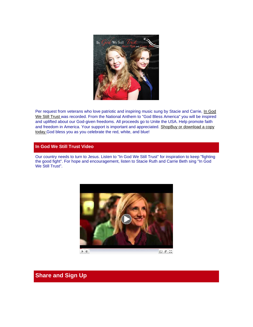

Per request from veterans who love patriotic and inspiring music sung by Stacie and Carrie, In God [We Still Trust](http://unitetheusa.org/id56.html) was recorded. From the National Anthem to "God Bless America" you will be inspired and uplifted about our God-given freedoms. All proceeds go to Unite the USA. Help promote faith and freedom in America. Your support is important and appreciated. [Shop](http://unitetheusa.org/id56.html)Buy or download a copy [today.G](http://r20.rs6.net/tn.jsp?f=001zDhXMwq90IJQ7Uwq8JcWo6hUrjvmUil9iNr6d9FIS_t-q6mu5pXqwqt-OeQ7A_hEcaz-D1bveTzhJ2yqgBnXD0zqWKqM_v1XhraVrIi0yCvMDg76jFbl1J9P0XThA6y7ZNKfPblKJjf8WZpshGORqS-pea78v3LY68ezQVsAW2YLBp5I-lDUiQ==&c=Zd6CpGYFxhx-xhDNzCp_ESFriqK186qlyYaW76SLp-N32V5NtmJffg==&ch=ii60Bj0iJsOGWurGKXsKhL4yzcgsON7mx2POdO9MRMZXVk41T0VJSQ==)od bless you as you celebrate the red, white, and blue!

#### **In God We Still Trust Video**

Our country needs to turn to Jesus. Listen to "In God We Still Trust" for inspiration to keep "fighting the good fight". For hope and encouragement, listen to Stacie Ruth and Carrie Beth sing "In God We Still Trust".



### **Share and Sign Up**